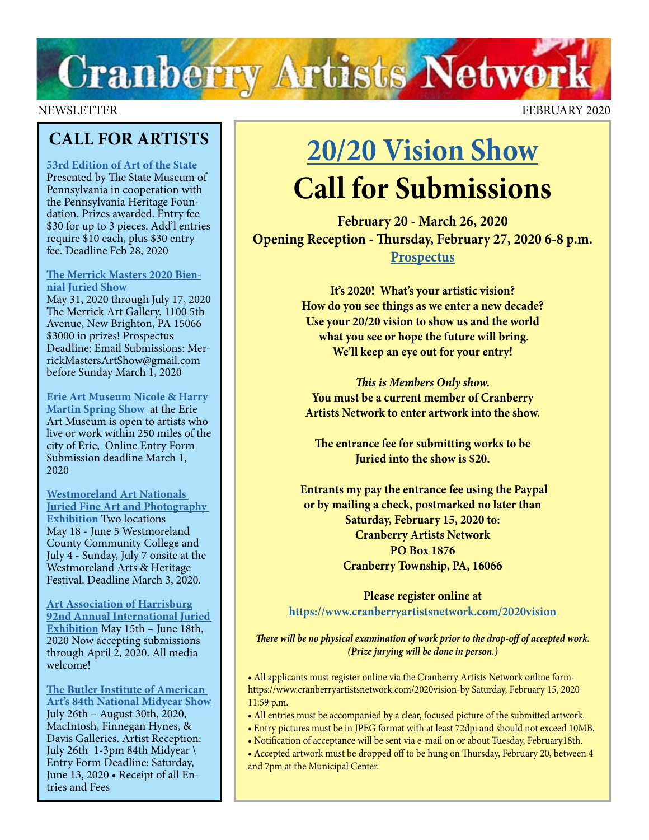# **Cranberry Artists Network**

### **CALL FOR ARTISTS**

**[53rd Edition of Art of the State](https://ethosting.s3.amazonaws.com/artofthestatepa/index.html)** Presented by The State Museum of

Pennsylvania in cooperation with the Pennsylvania Heritage Foundation. Prizes awarded. Entry fee \$30 for up to 3 pieces. Add'l entries require \$10 each, plus \$30 entry fee. Deadline Feb 28, 2020

#### **[The Merrick Masters 2020 Bien](http://www.merrickartgallery.org/exhibits)[nial Juried Show](http://www.merrickartgallery.org/exhibits)**

May 31, 2020 through July 17, 2020 The Merrick Art Gallery, 1100 5th Avenue, New Brighton, PA 15066 \$3000 in prizes! Prospectus Deadline: Email Submissions: MerrickMastersArtShow@gmail.com before Sunday March 1, 2020

**[Erie Art Museum Nicole & Harry](https://erieartmuseum.org/prospectus2020/)  [Martin Spring Show](https://erieartmuseum.org/prospectus2020/)** at the Erie Art Museum is open to artists who live or work within 250 miles of the city of Erie, Online Entry Form Submission deadline March 1, 2020

**[Westmoreland Art Nationals](https://artsandheritage.com/the-arts/art-nationals/)  [Juried Fine Art and Photography](https://artsandheritage.com/the-arts/art-nationals/)  [Exhibition](https://artsandheritage.com/the-arts/art-nationals/)** Two locations May 18 - June 5 Westmoreland County Community College and July 4 - Sunday, July 7 onsite at the Westmoreland Arts & Heritage Festival. Deadline March 3, 2020.

**[Art Association of Harrisburg](https://www.artassocofhbg.com/wp-content/uploads/2020/01/92nd-Annual-International-Juried-Exhibition.pdf) [92nd Annual International Juried](https://www.artassocofhbg.com/wp-content/uploads/2020/01/92nd-Annual-International-Juried-Exhibition.pdf)  [Exhibition](https://www.artassocofhbg.com/wp-content/uploads/2020/01/92nd-Annual-International-Juried-Exhibition.pdf)** May 15th – June 18th, 2020 Now accepting submissions through April 2, 2020. All media welcome!

**[The Butler Institute of American](https://butlerart.com/art/84th-national-mid-year-show/)  [Art's 84th National Midyear Show](https://butlerart.com/art/84th-national-mid-year-show/)** July 26th – August 30th, 2020, MacIntosh, Finnegan Hynes, & Davis Galleries. Artist Reception: July 26th 1-3pm 84th Midyear \ Entry Form Deadline: Saturday, June 13, 2020 • Receipt of all Entries and Fees

## **[20/20 Vision Show](https://www.cranberryartistsnetwork.com/2020vision) Call for Submissions**

**February 20 - March 26, 2020 Opening Reception - Thursday, February 27, 2020 6-8 p.m. [Prospectus](https://6ef23f8f-391d-4927-b394-c48660e2d34b.filesusr.com/ugd/5391af_39ba248ac0294a4e8e86dfc44172b705.pdf)**

> **It's 2020! What's your artistic vision? How do you see things as we enter a new decade? Use your 20/20 vision to show us and the world what you see or hope the future will bring. We'll keep an eye out for your entry!**

*This is Members Only show.*  **You must be a current member of Cranberry Artists Network to enter artwork into the show.**

**The entrance fee for submitting works to be Juried into the show is \$20.**

 **Entrants my pay the entrance fee using the Paypal or by mailing a check, postmarked no later than Saturday, February 15, 2020 to: Cranberry Artists Network PO Box 1876 Cranberry Township, PA, 16066**

**Please register online at <https://www.cranberryartistsnetwork.com/2020vision>**

*There will be no physical examination of work prior to the drop-off of accepted work. (Prize jurying will be done in person.)* 

• All applicants must register online via the Cranberry Artists Network online formhttps://www.cranberryartistsnetwork.com/2020vision-by Saturday, February 15, 2020 11:59 p.m.

- All entries must be accompanied by a clear, focused picture of the submitted artwork.
- Entry pictures must be in JPEG format with at least 72dpi and should not exceed 10MB.
- Notification of acceptance will be sent via e-mail on or about Tuesday, February18th.

• Accepted artwork must be dropped off to be hung on Thursday, February 20, between 4 and 7pm at the Municipal Center.

NEWSLETTER FEBRUARY 2020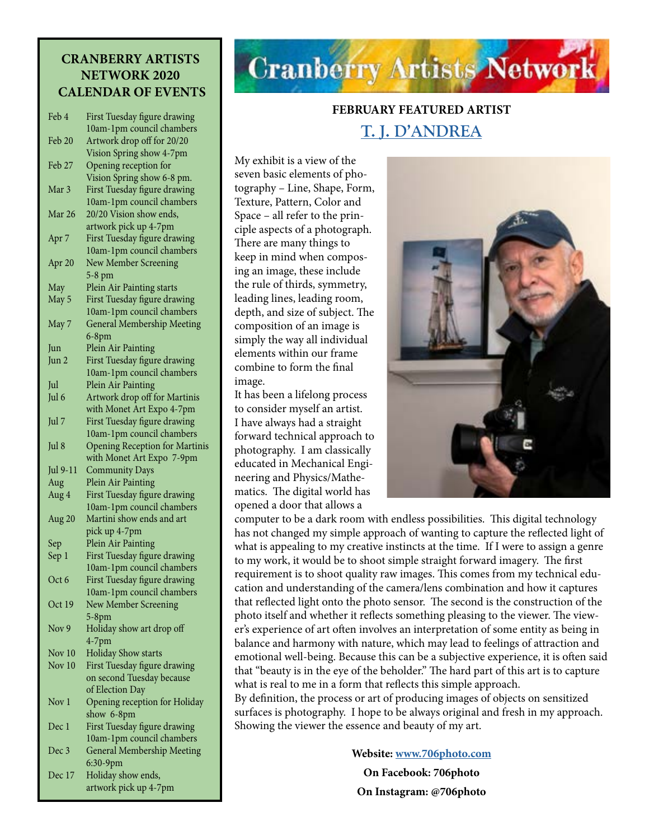### **CRANBERRY ARTISTS NETWORK 2020 CALENDAR OF EVENTS**

| Feb 4            | First Tuesday figure drawing          |
|------------------|---------------------------------------|
|                  | 10am-1pm council chambers             |
| Feb 20           | Artwork drop off for 20/20            |
|                  | Vision Spring show 4-7pm              |
| Feb 27           | Opening reception for                 |
|                  | Vision Spring show 6-8 pm.            |
| Mar 3            | First Tuesday figure drawing          |
|                  | 10am-1pm council chambers             |
| Mar 26           | 20/20 Vision show ends,               |
|                  | artwork pick up 4-7pm                 |
| Apr 7            | First Tuesday figure drawing          |
|                  | 10am-1pm council chambers             |
| Apr 20           | New Member Screening                  |
|                  | 5-8 pm                                |
| May              | Plein Air Painting starts             |
| May 5            | First Tuesday figure drawing          |
|                  | 10am-1pm council chambers             |
|                  |                                       |
| May 7            | <b>General Membership Meeting</b>     |
|                  | $6-8$ pm                              |
| Jun              | Plein Air Painting                    |
| Jun 2            | First Tuesday figure drawing          |
|                  | 10am-1pm council chambers             |
| Jul              | Plein Air Painting                    |
| Jul 6            | Artwork drop off for Martinis         |
|                  | with Monet Art Expo 4-7pm             |
| Jul 7            | First Tuesday figure drawing          |
|                  | 10am-1pm council chambers             |
| Jul 8            | <b>Opening Reception for Martinis</b> |
|                  | with Monet Art Expo 7-9pm             |
| Jul 9-11         | <b>Community Days</b>                 |
| Aug              | Plein Air Painting                    |
| Aug 4            | First Tuesday figure drawing          |
|                  | 10am-1pm council chambers             |
| Aug 20           | Martini show ends and art             |
|                  | pick up 4-7pm                         |
| Sep              | Plein Air Painting                    |
| Sep 1            | First Tuesday figure drawing          |
|                  | 10am-1pm council chambers             |
| Oct 6            | First Tuesday figure drawing          |
|                  | 10am-1pm council chambers             |
| Oct 19           | <b>New Member Screening</b>           |
|                  | $5-8$ pm                              |
| Nov <sub>9</sub> | Holiday show art drop off             |
|                  | $4-7$ pm                              |
| Nov 10           | <b>Holiday Show starts</b>            |
| Nov 10           |                                       |
|                  | First Tuesday figure drawing          |
|                  | on second Tuesday because             |
|                  | of Election Day                       |
| Nov 1            | Opening reception for Holiday         |
|                  | show 6-8pm                            |
| Dec 1            | First Tuesday figure drawing          |
|                  | 10am-1pm council chambers             |
| Dec 3            | <b>General Membership Meeting</b>     |
|                  | 6:30-9pm                              |
|                  | $H_0$ idayahaw                        |

Holiday show ends artwork pick up 4-7pm

# **Cranberry Artists Network**

### **FEBRUARY FEATURED ARTIST [T. J. D'ANDREA](http://www.706photo.com)**

My exhibit is a view of the seven basic elements of photography – Line, Shape, Form, Texture, Pattern, Color and Space – all refer to the principle aspects of a photograph. There are many things to keep in mind when composing an image, these include the rule of thirds, symmetry, leading lines, leading room, depth, and size of subject. The composition of an image is simply the way all individual elements within our frame combine to form the final image.

It has been a lifelong process to consider myself an artist. I have always had a straight forward technical approach to photography. I am classically educated in Mechanical Engineering and Physics/Mathematics. The digital world has opened a door that allows a



computer to be a dark room with endless possibilities. This digital technology has not changed my simple approach of wanting to capture the reflected light of what is appealing to my creative instincts at the time. If I were to assign a genre to my work, it would be to shoot simple straight forward imagery. The first requirement is to shoot quality raw images. This comes from my technical education and understanding of the camera/lens combination and how it captures that reflected light onto the photo sensor. The second is the construction of the photo itself and whether it reflects something pleasing to the viewer. The viewer's experience of art often involves an interpretation of some entity as being in balance and harmony with nature, which may lead to feelings of attraction and emotional well-being. Because this can be a subjective experience, it is often said that "beauty is in the eye of the beholder." The hard part of this art is to capture what is real to me in a form that reflects this simple approach.

By definition, the process or art of producing images of objects on sensitized surfaces is photography. I hope to be always original and fresh in my approach. Showing the viewer the essence and beauty of my art.

> **Website: [www.706photo.com](http://www.706photo.com) On Facebook: 706photo On Instagram: @706photo**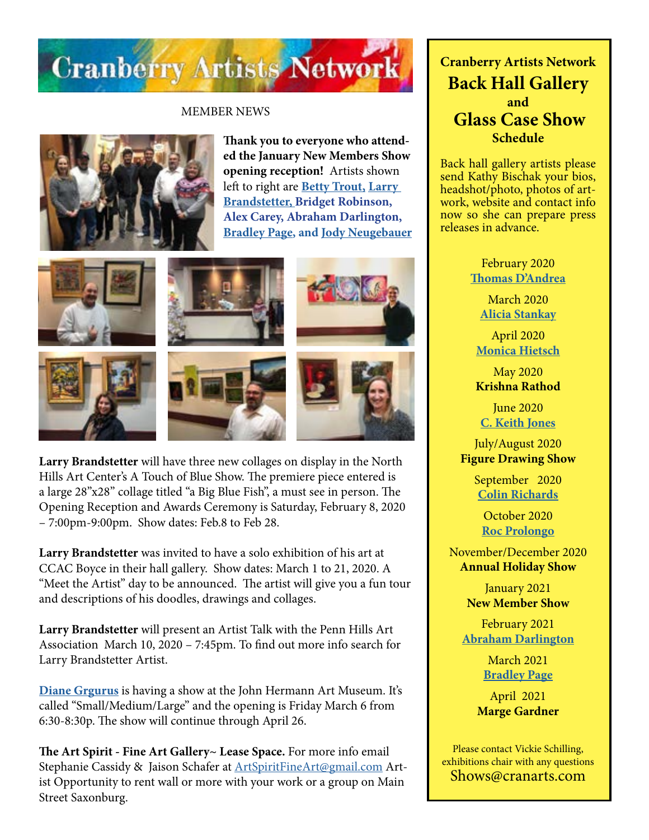

#### MEMBER NEWS



**Thank you to everyone who attended the January New Members Show opening reception!** Artists shown left to right are **[Betty Trout,](http://www.bettytrout.com) [Larry](https://www.facebook.com/Larry-Brandstetter-Doodler-379832832491777/)  [Brandstetter,](https://www.facebook.com/Larry-Brandstetter-Doodler-379832832491777/) Bridget Robinson, Alex Carey, Abraham Darlington, [Bradley Page](http://www.fireandfumes.com), and [Jody Neugebauer](https://www.facebook.com/Jodyneugebauergourds/)**



**[Larry Brandstetter](http://www.LarryBrandstetterArtist)** will have three new collages on display in the North Hills Art Center's A Touch of Blue Show. The premiere piece entered is a large 28"x28" collage titled "a Big Blue Fish", a must see in person. The Opening Reception and Awards Ceremony is Saturday, February 8, 2020 – 7:00pm-9:00pm. Show dates: Feb.8 to Feb 28.

**[Larry Brandstetter](http://www.LarryBrandstetterArtist)** was invited to have a solo exhibition of his art at CCAC Boyce in their hall gallery. Show dates: March 1 to 21, 2020. A "Meet the Artist" day to be announced. The artist will give you a fun tour and descriptions of his doodles, drawings and collages.

**[Larry Brandstetter](http://www.LarryBrandstetterArtist)** will present an Artist Talk with the Penn Hills Art Association March 10, 2020 – 7:45pm. To find out more info search for Larry Brandstetter Artist.

**[Diane Grgurus](https://dianegrguras.com/)** is having a show at the John Hermann Art Museum. It's called "Small/Medium/Large" and the opening is Friday March 6 from 6:30-8:30p. The show will continue through April 26.

**The Art Spirit - Fine Art Gallery~ Lease Space.** For more info email Stephanie Cassidy & Jaison Schafer at [ArtSpiritFineArt@gmail.com](http://ArtSpiritFineArt@gmail.com) Artist Opportunity to rent wall or more with your work or a group on Main Street Saxonburg.

**Cranberry Artists Network Back Hall Gallery and Glass Case Show Schedule** 

Back hall gallery artists please send Kathy Bischak your bios, headshot/photo, photos of artwork, website and contact info now so she can prepare press releases in advance.

> February 2020 **[Thomas D'Andrea](http://www.706photo.com)**

March 2020 **[Alicia Stankay](https://www.facebook.com/alicia.stankay)**

April 2020 **[Monica Hietsch](https://www.monicahietsch.com/)**

May 2020 **Krishna Rathod**

June 2020 **[C. Keith Jones](http://ckeithjonesartist.com/)**

July/August 2020 **Figure Drawing Show**

> September 2020 **[Colin Richards](https://www.colinrichardsart.com/)**

October 2020 **[Roc Prolongo](https://www.rocprologo.com/)**

November/December 2020 **Annual Holiday Show**

> January 2021 **New Member Show**

February 2021 **[Abraham Darlington](https://www.facebook.com/abraham.darlington)**

> March 2021 **[Bradley Page](https://fireandfumes.com/)**

April 2021 **Marge Gardner**

Please contact Vickie Schilling, exhibitions chair with any questions Shows@cranarts.com